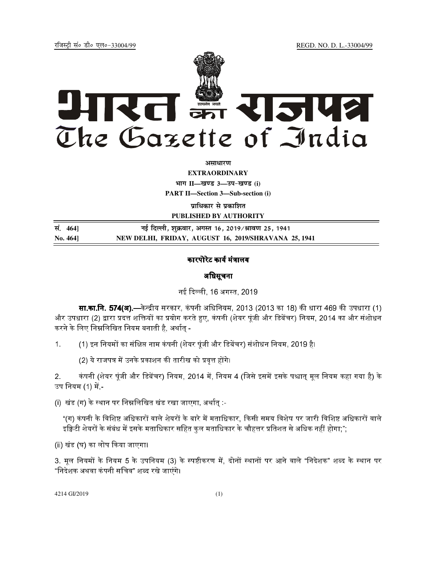REGD. NO. D. L.-33004/99

रजिस्टी सं० डी० एल०-33004/99



अमाधारण

**EXTRAORDINARY** भाग II-खण्ड 3-उप-खण्ड (i)

**PART II-Section 3-Sub-section (i)** 

प्राधिकार से प्रकाशित

PUBLISHED BY AUTHORITY

सं. 464] नई दिल्ली, शुक्रवार, अगस्त 16, 2019/श्रावण 25, 1941 NEW DELHI, FRIDAY, AUGUST 16, 2019/SHRAVANA 25, 1941 No. 4641

## कारपोरेट कार्य मंत्रालय

## अधिसूचना

नई दिल्ली, 16 अगस्त, 2019

**सा.का.नि. 574(अ).—**केन्द्रीय सरकार, कंपनी अधिनियम, 2013 (2013 का 18) की धारा 469 की उपधारा (1) और उपधारा (2) द्वारा प्रदत्त शक्तियों का प्रयोग करते हुए, कंपनी (शेयर पूंजी और डिबेंचर) नियम, 2014 का और संशोधन करने के लिए निम्नलिखित नियम बनाती है, अर्थात -

(1) इन नियमों का संक्षिप्त नाम कंपनी (शेयर पूंजी और डिबेंचर) संशोधन नियम, 2019 है।  $1<sup>1</sup>$ 

(2) ये राजपत्र में उनके प्रकाशन की तारीख को प्रवृत्त होंगे।

कंपनी (शेयर पूंजी और डिबेंचर) नियम, 2014 में, नियम 4 (जिसे इसमें इसके पश्चात् मूल नियम कहा गया है) के  $2<sub>1</sub>$ उप नियम (1) में -

(i) खंड (ग) के स्थान पर निम्नलिखित खंड रखा जाएगा, अर्थात् :-

"(ग) कंपनी के विशिष्ट अधिकारों वाले शेयरों के बारे में मताधिकार, किसी समय विशेष पर जारी विशिष्ट अधिकारों वाले इक्विटी शेयरों के संबंध में इसके मताधिकार सहित कुल मताधिकार के चौहत्तर प्रतिशत से अधिक नहीं होगा;";

(ii) खंड (घ) का लोप किया जाएगा।

3. मूल नियमों के नियम 5 के उपनियम (3) के स्पष्टीकरण में, दोनों स्थानों पर आने वाले "निदेशक" शब्द के स्थान पर "निदेशक अथवा कंपनी सचिव" शब्द रखे जाएंगे।

4214 GI/2019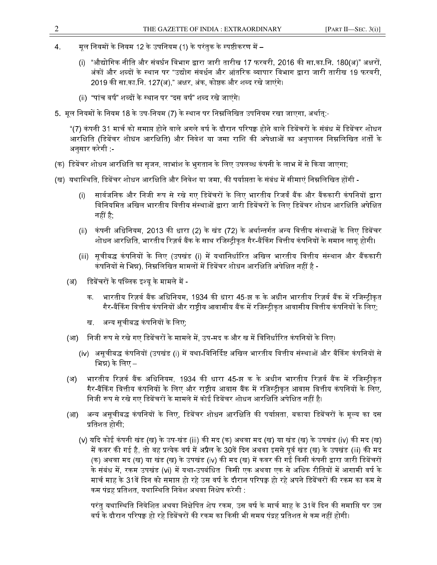- $\overline{4}$ . मूल नियमों के नियम 12 के उपनियम (1) के परंतुक के स्पष्टीकरण में –
	- "औद्योगिक नीति और संवर्धन विभाग द्वारा जारी तारीख 17 फरवरी, 2016 की सा.का.नि. 180(अ)" अक्षरों,  $(i)$ अंकों और शब्दों के स्थान पर "उद्योग संवर्धन और आंतरिक व्यापार विभाग द्वारा जारी तारीख 19 फरवरी. 2019 की सा का नि. 127(अ)," अक्षर, अंक, कोष्ठक और शब्द रखे जाएंगे।
	- (ii) "पांच वर्ष" शब्दों के स्थान पर "दस वर्ष" शब्द रखे जाएंगे।
- 5. मूल नियमों के नियम 18 के उप-नियम (7) के स्थान पर निम्नलिखित उपनियम रखा जाएगा, अर्थात्:-

"(7) कंपनी 31 मार्च को समाप्त होने वाले अगले वर्ष के दौरान परिपक्व होने वाले डिबेंचरों के संबंध में डिबेंचर शोधन आरक्षिति (डिबेंचर शोधन आरक्षिति) और निवेश या जमा राशि की अपेक्षाओं का अनुपालन निम्नलिखित शर्तों के अनुसार करेगी :-

- (क) डिबेंचर शोधन आरक्षिति का सृजन, लाभांश के भुगतान के लिए उपलब्ध कंपनी के लाभ में से किया जाएगा;
- (ख) यथास्थिति, डिबेंचर शोधन आरक्षिति और निवेश या जमा, की पर्याप्तता के संबंध में सीमाएं निम्नलिखित होंगी -
	- सार्वजनिक और निजी रूप से रखे गए डिबेंचरों के लिए भारतीय रिजर्वं बैंक और बैंककारी कंपनियों द्वारा  $(i)$ विनियमित अखिल भारतीय वित्तीय संस्थाओं द्वारा जारी डिबेंचरों के लिए डिबेंचर शोधन आरक्षिति अपेक्षित नहीं है:
	- कंपनी अधिनियम, 2013 की धारा (2) के खंड (72) के अर्थान्तर्गत अन्य वित्तीय संस्थाओं के लिए डिबेंचर  $(ii)$ शोधन आरक्षिति, भारतीय रिज़र्व बैंक के साथ रजिस्ट्रीकृत गैर-बैंकिंग वित्तीय कंपनियों के समान लागू होगी।
	- (iii) सूचीबद्ध कंपनियों के लिए (उपखंड (i) में यथानिर्धारित अखिल भारतीय वित्तीय संस्थान और बैंककारी कंपनियों से भिन्न), निम्नलिखित मामलों में डिबेंचर शोधन आरक्षिति अपेक्षित नहीं है -
	- डिबेंचरों के पब्लिक इश्यू के मामले में -(अ)
		- भारतीय रिज़र्व बैंक अधिनियम, 1934 की धारा 45-झ क के अधीन भारतीय रिज़र्व बैंक में रजिस्ट्रीकृत क गैर-बैंकिंग वित्तीय कंपनियों और राष्ट्रीय आवासीय बैंक में रजिस्ट्रीकृत आवासीय वित्तीय कंपनियों के लिए;
		- अन्य सूचीबद्ध कंपनियों के लिए; ख
	- निजी रूप से रखे गए डिबेंचरों के मामले में, उप-मद क और ख में विनिर्धारित कंपनियों के लिए।  $(3<sup>T</sup>)$ 
		- (iv) असूचीबद्ध कंपनियों (उपखंड (i) में यथा-विनिर्दिष्ट अखिल भारतीय वित्तीय संस्थाओं और बैंकिंग कंपनियों से भिन्न) के लिए –
	- भारतीय रिज़र्व बैंक अधिनियम, 1934 की धारा 45-झ क के अधीन भारतीय रिज़र्व बैंक में रजिस्ट्रीकृत (अ) गैर-बैंकिंग वित्तीय कंपनियों के लिए और राष्ट्रीय आवास बैंक में रजिस्ट्रीकृत आवास वित्तीय कंपनियों के लिए, निजी रूप से रखे गए डिबेंचरों के मामले में कोई डिबेंचर शोधन आरक्षिति अपेक्षित नहीं है।
	- अन्य असूचीबद्ध कंपनियों के लिए, डिबेंचर शोधन आरक्षिति की पर्याप्तता, बकाया डिबेंचरों के मूल्य का दस  $(3<sup>T</sup>)$ प्रतिशत होगी:
		- (v) यदि कोई कंपनी खंड (ख) के उप-खंड (iii) की मद (क) अथवा मद (ख) या खंड (ख) के उपखंड (iv) की मद (ख) में कवर की गई है, तो वह प्रत्येक वर्ष में अप्रैल के 30वें दिन अथवा इससे पूर्व खंड (ख) के उपखंड (iii) की मद (क) अथवा मद (ख) या खंड (ख) के उपखंड (iv) की मद (ख) में कवर की गई किसी कंपनी द्वारा जारी डिबेंचरों के संबंध में. रकम उपखंड (vi) में यथा-उपबंधित किसी एक अथवा एक से अधिक रीतियों में आगामी वर्ष के मार्च माह के 31वें दिन को समाप्त हो रहे उस वर्ष के दौरान परिपक्व हो रहे अपने डिबेंचरों की रकम का कम से कम पंद्रह प्रतिशत, यथास्थिति निवेश अथवा निक्षेप करेगी :

परंतु यथास्थिति निवेशित अथवा निक्षेपित शेष रकम, उस वर्ष के मार्च माह के 31वें दिन की समाप्ति पर उस वर्ष के दौरान परिपक्व हो रहे डिबेंचरों की रकम का किसी भी समय पंद्रह प्रतिशत से कम नहीं होगी।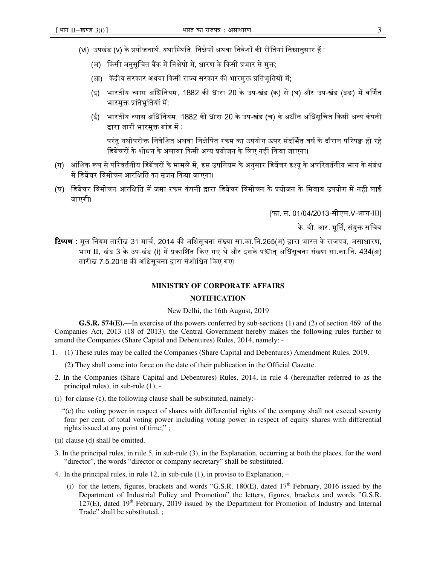- (vi) उपखंड (v) के प्रयोजनार्थ, यथास्थिति, निक्षेपों अथवा निवेशों की रीतियां निम्नानुसार हैं :
	- (अ) किसी अनुसूचित बैंक में निक्षेपों में, धारण के किसी प्रभार से मुक्त;
	- (आ) केंद्रीय सरकार अथवा किसी राज्य सरकार की भारमुक्त प्रतिभूतियों में;
	- (इ) भारतीय न्यास अधिनियम, 1882 की धारा 20 के उप-खंड (क) से (घ) और उप-खंड (ङङ) में वर्णित भारमुक्त प्रतिभूतियों में;
	- (ई) भारतीय न्यास अधिनियम, 1882 की धारा 20 के उप-खंड (च) के अधीन अधिसूचित किसी अन्य कंपनी द्वारा जारी भारमुक्त बांड में :

परंत यथोपरोक्त निवेशित अथवा निक्षेपित रकम का उपयोग ऊपर संदर्भित वर्ष के दौरान परिपक्व हो रहे $\,$ डिबेंचरों के शोधन के अलावा किसी अन्य प्रयोजन के लिए नहीं किया जाएगा।

- (ग) आंशिक रूप से परिवर्तनीय डिबेंचरों के मामले में. इस उपनियम के अनसार डिबेंचर इश्य के अपरिवर्तनीय भाग के संबंध में डिबेंचर विमोचन आरक्षिति का सजन किया जाएगा।
- (घ) डिबेंचर विमोचन आरक्षिति में जमा रकम कंपनी द्वारा डिबेंचर विमोचन के प्रयोजन के सिवाय उपयोग में नहीं लाई जाएगी।

[फा. सं. 01/04/2013-सीएल.V-भाग-III]

के. वी. आर. मूर्ति, संयुक्त सचिव

**टिप्पण :** मूल नियम तारीख 31 मार्च, 2014 की अधिसूचना संख्या सा.का.नि.265(अ) द्वारा भारत के राजपत्र, असाधारण, भाग II, खंड 3 के उप-खंड (i) में प्रकाशित किए गए थे और इसके पश्चात् अधिसूचना संख्या सा.का.नि. 434(अ) तारीख 7.5.2018 की अधिसचना द्वारा संशोधित किए गए।

## **MINISTRY OF CORPORATE AFFAIRS**

## **NOTIFICATION**

New Delhi, the 16th August, 2019

**G.S.R. 574(E).—**In exercise of the powers conferred by sub-sections (1) and (2) of section 469 of the Companies Act, 2013 (18 of 2013), the Central Government hereby makes the following rules further to amend the Companies (Share Capital and Debentures) Rules, 2014, namely: -

1. (1) These rules may be called the Companies (Share Capital and Debentures) Amendment Rules, 2019.

(2) They shall come into force on the date of their publication in the Official Gazette.

- 2. In the Companies (Share Capital and Debentures) Rules, 2014, in rule 4 (hereinafter referred to as the principal rules), in sub-rule (1), -
- (i) for clause (c), the following clause shall be substituted, namely:-

 "(c) the voting power in respect of shares with differential rights of the company shall not exceed seventy four per cent. of total voting power including voting power in respect of equity shares with differential rights issued at any point of time;" ;

- (ii) clause (d) shall be omitted.
- 3. In the principal rules, in rule 5, in sub-rule (3), in the Explanation, occurring at both the places, for the word "director", the words "director or company secretary" shall be substituted.
- 4. In the principal rules, in rule 12, in sub-rule (1), in proviso to Explanation,
	- (i) for the letters, figures, brackets and words "G.S.R. 180 $(E)$ , dated 17<sup>th</sup> February, 2016 issued by the Department of Industrial Policy and Promotion" the letters, figures, brackets and words "G.S.R.  $127(E)$ , dated  $19<sup>th</sup>$  February, 2019 issued by the Department for Promotion of Industry and Internal Trade" shall be substituted. ;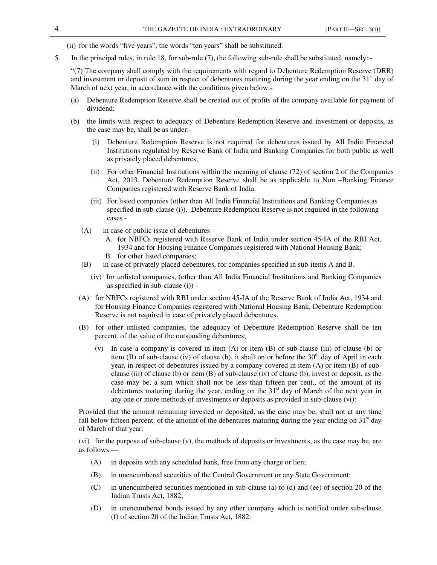(ii) for the words "five years", the words "ten years" shall be substituted.

5. In the principal rules, in rule 18, for sub-rule (7), the following sub-rule shall be substituted, namely: -

"(7) The company shall comply with the requirements with regard to Debenture Redemption Reserve (DRR) and investment or deposit of sum in respect of debentures maturing during the year ending on the  $31<sup>st</sup>$  day of March of next year, in accordance with the conditions given below:-

- (a) Debenture Redemption Reserve shall be created out of profits of the company available for payment of dividend;
- (b) the limits with respect to adequacy of Debenture Redemption Reserve and investment or deposits, as the case may be, shall be as under;-
	- (i) Debenture Redemption Reserve is not required for debentures issued by All India Financial Institutions regulated by Reserve Bank of India and Banking Companies for both public as well as privately placed debentures;
	- (ii) For other Financial Institutions within the meaning of clause (72) of section 2 of the Companies Act, 2013, Debenture Redemption Reserve shall be as applicable to Non –Banking Finance Companies registered with Reserve Bank of India.
	- (iii) For listed companies (other than All India Financial Institutions and Banking Companies as specified in sub-clause (i)), Debenture Redemption Reserve is not required in the following cases -
	- (A) in case of public issue of debentures
		- A. for NBFCs registered with Reserve Bank of India under section 45-IA of the RBI Act, 1934 and for Housing Finance Companies registered with National Housing Bank;
		- B. for other listed companies;
	- (B) in case of privately placed debentures, for companies specified in sub-items A and B.
		- (iv) for unlisted companies, (other than All India Financial Institutions and Banking Companies as specified in sub-clause (i)) -
	- (A) for NBFCs registered with RBI under section 45-IA of the Reserve Bank of India Act, 1934 and for Housing Finance Companies registered with National Housing Bank, Debenture Redemption Reserve is not required in case of privately placed debentures.
	- (B) for other unlisted companies, the adequacy of Debenture Redemption Reserve shall be ten percent. of the value of the outstanding debentures;
		- (v) In case a company is covered in item (A) or item (B) of sub-clause (iii) of clause (b) or item (B) of sub-clause (iv) of clause (b), it shall on or before the  $30<sup>th</sup>$  day of April in each year, in respect of debentures issued by a company covered in item (A) or item (B) of subclause (iii) of clause (b) or item (B) of sub-clause (iv) of clause (b), invest or deposit, as the case may be, a sum which shall not be less than fifteen per cent., of the amount of its debentures maturing during the year, ending on the  $31<sup>st</sup>$  day of March of the next year in any one or more methods of investments or deposits as provided in sub-clause (vi):

Provided that the amount remaining invested or deposited, as the case may be, shall not at any time fall below fifteen percent. of the amount of the debentures maturing during the year ending on  $31<sup>st</sup>$  day of March of that year.

(vi) for the purpose of sub-clause (v), the methods of deposits or investments, as the case may be, are as follows:—

- (A) in deposits with any scheduled bank, free from any charge or lien;
- (B) in unencumbered securities of the Central Government or any State Government;
- (C) in unencumbered securities mentioned in sub-clause (a) to (d) and (ee) of section 20 of the Indian Trusts Act, 1882;
- (D) in unencumbered bonds issued by any other company which is notified under sub-clause (f) of section 20 of the Indian Trusts Act, 1882: